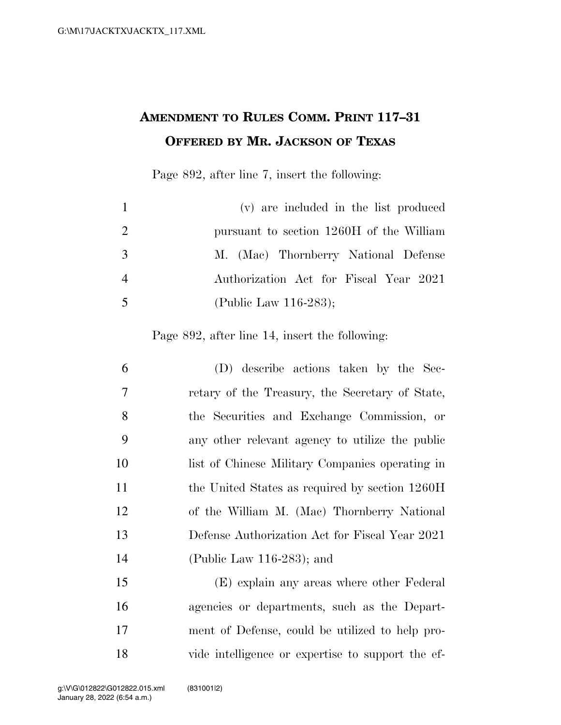## **AMENDMENT TO RULES COMM. PRINT 117–31 OFFERED BY MR. JACKSON OF TEXAS**

Page 892, after line 7, insert the following:

| $\mathbf{1}$   | (v) are included in the list produced    |
|----------------|------------------------------------------|
| 2              | pursuant to section 1260H of the William |
| 3              | M. (Mac) Thornberry National Defense     |
| $\overline{4}$ | Authorization Act for Fiscal Year 2021   |
| 5              | (Public Law $116-283$ );                 |

Page 892, after line 14, insert the following:

| 6              | (D) describe actions taken by the Sec-          |
|----------------|-------------------------------------------------|
| $\overline{7}$ | retary of the Treasury, the Secretary of State, |
| 8              | the Securities and Exchange Commission, or      |
| 9              | any other relevant agency to utilize the public |
| 10             | list of Chinese Military Companies operating in |
| 11             | the United States as required by section 1260H  |
| 12             | of the William M. (Mac) Thornberry National     |
| 13             | Defense Authorization Act for Fiscal Year 2021  |
| 14             | (Public Law 116-283); and                       |
| 15             | (E) explain any areas where other Federal       |

 agencies or departments, such as the Depart- ment of Defense, could be utilized to help pro-vide intelligence or expertise to support the ef-